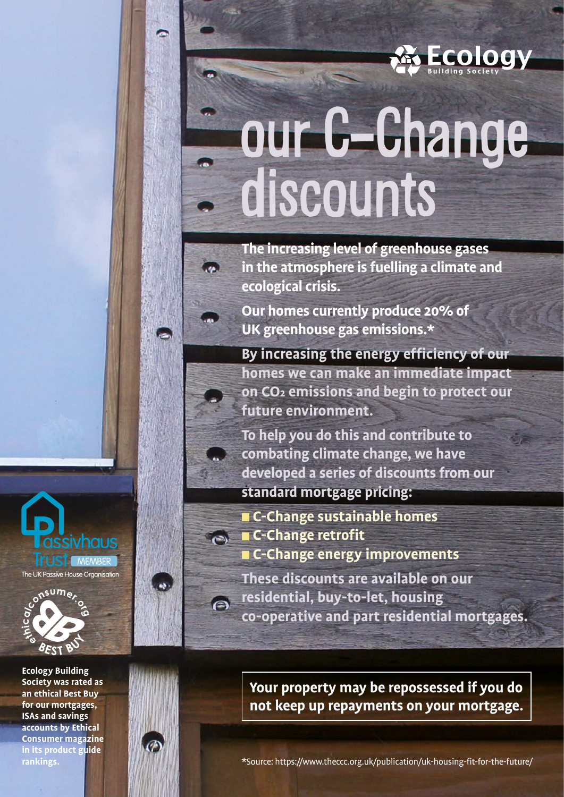

# our C-Change discounts

**The increasing level of greenhouse gases in the atmosphere is fuelling a climate and ecological crisis.**

**Our homes currently produce 20% of UK greenhouse gas emissions.\***

**By increasing the energy efficiency of our homes we can make an immediate impact on CO2 emissions and begin to protect our future environment.** 

**To help you do this and contribute to combating climate change, we have developed a series of discounts from our standard mortgage pricing:** 

 **C-Change sustainable homes**  $\blacksquare$  **C-Change retrofit** 

 **C-Change energy improvements**

**These discounts are available on our residential, buy-to-let, housing co-operative and part residential mortgages.**

**Ecology Building Society was rated as an ethical Best Buy for our mortgages, ISAs and savings accounts by Ethical Consumer magazine in its product guide rankings.**

assivhaus

**ITI IST** MEMBER The UK Passive House Organisation



 $\epsilon$ 

**Your property may be repossessed if you do not keep up repayments on your mortgage.**

\*Source: https://www.theccc.org.uk/publication/uk-housing-fit-for-the-future/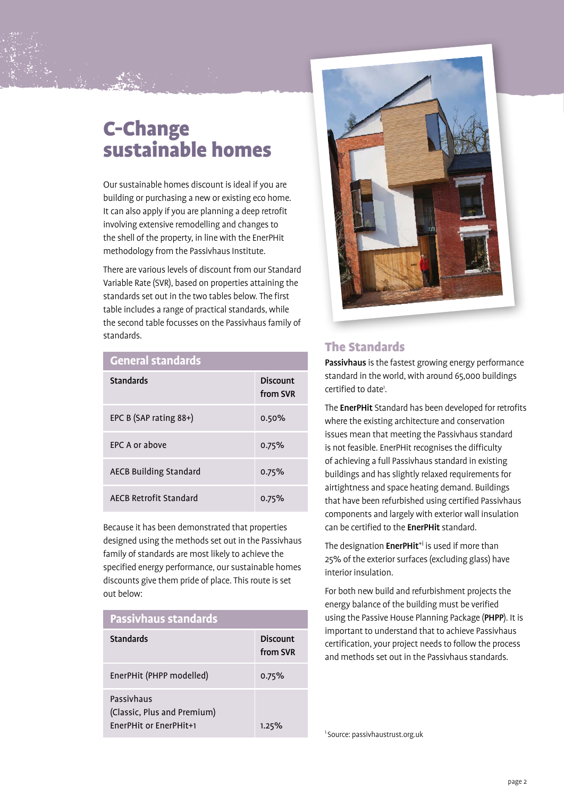# C-Change sustainable homes

Our sustainable homes discount is ideal if you are building or purchasing a new or existing eco home. It can also apply if you are planning a deep retrofit involving extensive remodelling and changes to the shell of the property, in line with the EnerPHit methodology from the Passivhaus Institute.

There are various levels of discount from our Standard Variable Rate (SVR), based on properties attaining the standards set out in the two tables below. The first table includes a range of practical standards, while the second table focusses on the Passivhaus family of standards.

#### **General standards**

| <b>Standards</b>              | Discount<br>from SVR |
|-------------------------------|----------------------|
| EPC B (SAP rating 88+)        | 0.50%                |
| EPC A or above                | 0.75%                |
| <b>AECB Building Standard</b> | 0.75%                |
| AECB Retrofit Standard        | $0.75\%$             |

Because it has been demonstrated that properties designed using the methods set out in the Passivhaus family of standards are most likely to achieve the specified energy performance, our sustainable homes discounts give them pride of place. This route is set out below:

| <b>Passivhaus standards</b>                                         |                             |
|---------------------------------------------------------------------|-----------------------------|
| <b>Standards</b>                                                    | <b>Discount</b><br>from SVR |
| EnerPHit (PHPP modelled)                                            | 0.75%                       |
| Passivhaus<br>(Classic, Plus and Premium)<br>EnerPHit or EnerPHit+1 | 1.25%                       |



## The Standards

Passivhaus is the fastest growing energy performance standard in the world, with around 65,000 buildings certified to date<sup>1</sup>.

The EnerPHit Standard has been developed for retrofits where the existing architecture and conservation issues mean that meeting the Passivhaus standard is not feasible. EnerPHit recognises the difficulty of achieving a full Passivhaus standard in existing buildings and has slightly relaxed requirements for airtightness and space heating demand. Buildings that have been refurbished using certified Passivhaus components and largely with exterior wall insulation can be certified to the **EnerPHit** standard.

The designation EnerPHit<sup>+i</sup> is used if more than 25% of the exterior surfaces (excluding glass) have interior insulation.

For both new build and refurbishment projects the energy balance of the building must be verified using the Passive House Planning Package (PHPP). It is important to understand that to achieve Passivhaus certification, your project needs to follow the process and methods set out in the Passivhaus standards.

1 Source: passivhaustrust.org.uk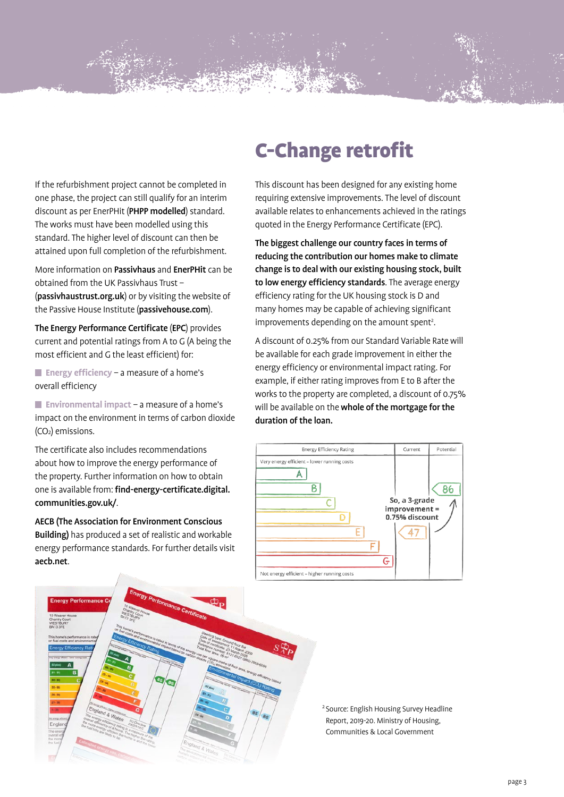If the refurbishment project cannot be completed in one phase, the project can still qualify for an interim discount as per EnerPHit (PHPP modelled) standard. The works must have been modelled using this standard. The higher level of discount can then be attained upon full completion of the refurbishment.

More information on Passivhaus and EnerPHit can be obtained from the UK Passivhaus Trust – (passivhaustrust.org.uk) or by visiting the website of the Passive House Institute (passivehouse.com).

The Energy Performance Certificate (EPC) provides current and potential ratings from A to G (A being the most efficient and G the least efficient) for:

**Energy efficiency** – a measure of a home's overall efficiency

**Environmental impact** – a measure of a home's impact on the environment in terms of carbon dioxide  $(CO<sub>2</sub>)$  emissions.

The certificate also includes recommendations about how to improve the energy performance of the property. Further information on how to obtain one is available from: find-energy-certificate.digital. communities.gov.uk/.

AECB (The Association for Environment Conscious Building) has produced a set of realistic and workable energy performance standards. For further details visit aecb.net.

# C-Change retrofit

This discount has been designed for any existing home requiring extensive improvements. The level of discount available relates to enhancements achieved in the ratings quoted in the Energy Performance Certificate (EPC).

The biggest challenge our country faces in terms of reducing the contribution our homes make to climate change is to deal with our existing housing stock, built to low energy efficiency standards. The average energy efficiency rating for the UK housing stock is D and many homes may be capable of achieving significant improvements depending on the amount spent<sup>2</sup>.

A discount of 0.25% from our Standard Variable Rate will be available for each grade improvement in either the energy efficiency or environmental impact rating. For example, if either rating improves from E to B after the works to the property are completed, a discount of 0.75% will be available on the whole of the mortgage for the duration of the loan.





<sup>2</sup> Source: English Housing Survey Headline Report, 2019-20. Ministry of Housing, Communities & Local Government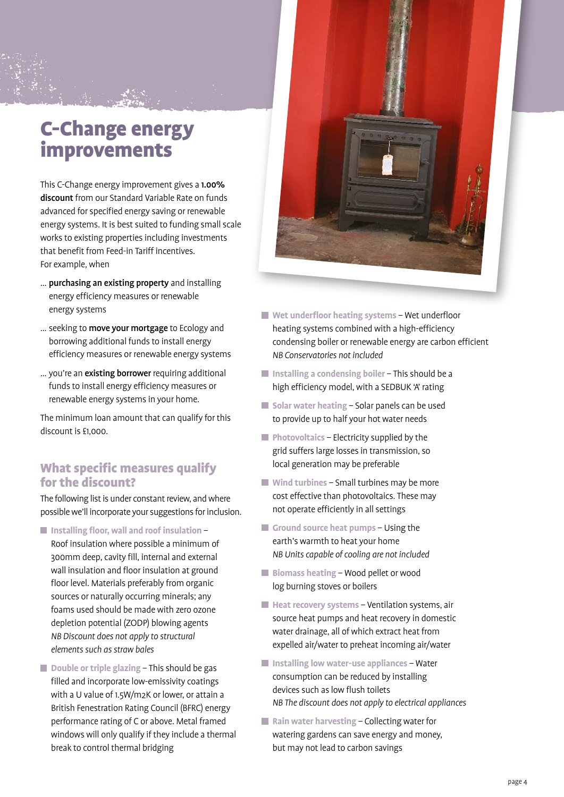## C-Change energy improvements

This C-Change energy improvement gives a 1.00% discount from our Standard Variable Rate on funds advanced for specified energy saving or renewable energy systems. It is best suited to funding small scale works to existing properties including investments that benefit from Feed-in Tariff incentives. For example, when

- … purchasing an existing property and installing energy efficiency measures or renewable energy systems
- ... seeking to move your mortgage to Ecology and borrowing additional funds to install energy efficiency measures or renewable energy systems
- … you're an existing borrower requiring additional funds to install energy efficiency measures or renewable energy systems in your home.

The minimum loan amount that can qualify for this discount is £1,000.

#### What specific measures qualify for the discount?

The following list is under constant review, and where possible we'll incorporate your suggestions for inclusion.

- Installing floor, wall and roof insulation Roof insulation where possible a minimum of 300mm deep, cavity fill, internal and external wall insulation and floor insulation at ground floor level. Materials preferably from organic sources or naturally occurring minerals; any foams used should be made with zero ozone depletion potential (ZODP) blowing agents  *NB Discount does not apply to structural elements such as straw bales*
- Double or triple glazing This should be gas filled and incorporate low-emissivity coatings with a U value of 1.5W/m2K or lower, or attain a British Fenestration Rating Council (BFRC) energy performance rating of C or above. Metal framed windows will only qualify if they include a thermal break to control thermal bridging



- **Wet underfloor heating systems** Wet underfloor heating systems combined with a high-efficiency condensing boiler or renewable energy are carbon efficient *NB Conservatories not included*
- $\blacksquare$  Installing a condensing boiler This should be a high efficiency model, with a SEDBUK 'A' rating
- $\blacksquare$  Solar water heating Solar panels can be used to provide up to half your hot water needs
- **Photovoltaics Electricity supplied by the** grid suffers large losses in transmission, so local generation may be preferable
- **Wind turbines** Small turbines may be more cost effective than photovoltaics. These may not operate efficiently in all settings
- **Ground source heat pumps** Using the earth's warmth to heat your home *NB Units capable of cooling are not included*
- Biomass heating Wood pellet or wood log burning stoves or boilers
- **Heat recovery systems** Ventilation systems, air source heat pumps and heat recovery in domestic water drainage, all of which extract heat from expelled air/water to preheat incoming air/water
- Installing low water-use appliances Water consumption can be reduced by installing devices such as low flush toilets  *NB The discount does not apply to electrical appliances*
- Rain water harvesting Collecting water for watering gardens can save energy and money, but may not lead to carbon savings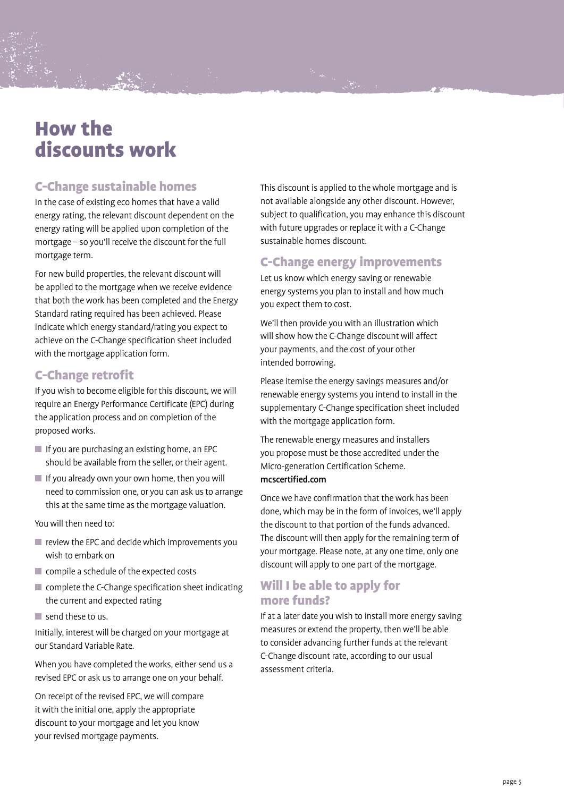## How the discounts work

## C-Change sustainable homes

In the case of existing eco homes that have a valid energy rating, the relevant discount dependent on the energy rating will be applied upon completion of the mortgage – so you'll receive the discount for the full mortgage term.

For new build properties, the relevant discount will be applied to the mortgage when we receive evidence that both the work has been completed and the Energy Standard rating required has been achieved. Please indicate which energy standard/rating you expect to achieve on the C-Change specification sheet included with the mortgage application form.

## C-Change retrofit

If you wish to become eligible for this discount, we will require an Energy Performance Certificate (EPC) during the application process and on completion of the proposed works.

- $\blacksquare$  If you are purchasing an existing home, an EPC should be available from the seller, or their agent.
- $\blacksquare$  If you already own your own home, then you will need to commission one, or you can ask us to arrange this at the same time as the mortgage valuation.

You will then need to:

- **F** review the EPC and decide which improvements you wish to embark on
- compile a schedule of the expected costs
- **Complete the C-Change specification sheet indicating** the current and expected rating
- $\blacksquare$  send these to us.

Initially, interest will be charged on your mortgage at our Standard Variable Rate.

When you have completed the works, either send us a revised EPC or ask us to arrange one on your behalf.

On receipt of the revised EPC, we will compare it with the initial one, apply the appropriate discount to your mortgage and let you know your revised mortgage payments.

This discount is applied to the whole mortgage and is not available alongside any other discount. However, subject to qualification, you may enhance this discount with future upgrades or replace it with a C-Change sustainable homes discount.

#### C-Change energy improvements

Let us know which energy saving or renewable energy systems you plan to install and how much you expect them to cost.

We'll then provide you with an illustration which will show how the C-Change discount will affect your payments, and the cost of your other intended borrowing.

Please itemise the energy savings measures and/or renewable energy systems you intend to install in the supplementary C-Change specification sheet included with the mortgage application form.

The renewable energy measures and installers you propose must be those accredited under the Micro-generation Certification Scheme. mcscertified.com

Once we have confirmation that the work has been done, which may be in the form of invoices, we'll apply the discount to that portion of the funds advanced. The discount will then apply for the remaining term of your mortgage. Please note, at any one time, only one discount will apply to one part of the mortgage.

## Will I be able to apply for more funds?

If at a later date you wish to install more energy saving measures or extend the property, then we'll be able to consider advancing further funds at the relevant C-Change discount rate, according to our usual assessment criteria.